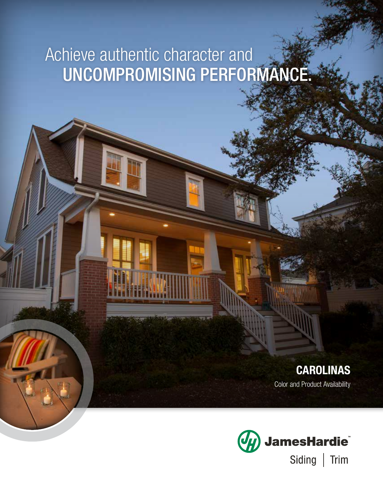# Achieve authentic character and UNCOMPROMISING PERFORMANCE.

# CAROLINAS

Color and Product Availability

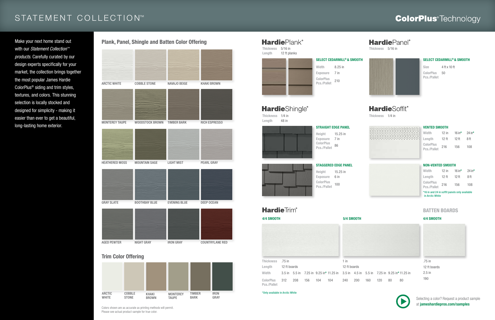Thickness 1/4 in Length 48 in

### **Hardie**Plank® Thickness 5/16 in

SELECT CEDARMILL© & SMOOTH Width 8.25 in Exposure 7 in **ColorPlus** Pcs./Pallet 210

### **Hardie**Shingle®

Length 12 ft planks



Thickness 5/16 in



Thickness 1/4 in



Size 4 ft x 10 ft ColorPlus Pcs./Pallet

Exposure 6 in **ColorPlus Pcs./Pallet** 100

# **HardieTrim®**

Height 15.25 in Exposure 7 in ColorPlus **Pcs./Pallet** 86

#### SELECT CEDARMILL© & SMOOTH

50



STAGGERED EDGE PANEL Height 15.25 in

#### STRAIGHT EDGE PANEL

#### VENTED SMOOTH



| Width                           | 12 in | 16 in $*$        | 24 in* |
|---------------------------------|-------|------------------|--------|
| Length                          | 12 ft | 12 <sub>ft</sub> | 8 ft   |
| <b>ColorPlus</b><br>Pcs./Pallet | 216   | 156              | 108    |

| Width                           | $12$ in | 16 in $*$        | 24 in $*$ |
|---------------------------------|---------|------------------|-----------|
| Length                          | $12$ ft | 12 <sub>ft</sub> | 8 ft      |
| <b>ColorPlus</b><br>Pcs./Pallet | 216     | 156              | 108       |

#### BATTEN BOARDS



### 4/4 SMOOTH 5/4 SMOOTH 4/4 SMOOTH

.75 in 12 ft boards 2.5 in 190



\*16 in and 24 in soffit panels only available in Arctic White

## STATEMENT COLLECTION™

Make your next home stand out with our *Statement Collection™ products*. Carefully curated by our design experts specifically for your market, the collection brings together the most popular James Hardie ColorPlus® siding and trim styles, textures, and colors. This stunning selection is locally stocked and designed for simplicity - making it easier than ever to get a beautiful, long-lasting home exterior.

1 in

240 200 160 120 80 80



12 ft boards Width 3.5 in 5.5 in 7.25 in 9.25 in\* 11.25 in 3.5 in 4.5 in 5.5 in 7.25 in 9.25 in\*11.25 in Length 12 ft boards ColorPlus Pcs./Pallet 312 208 156 104 104

\*Only available in Arctic White

Colors shown are as accurate as printing methods will permit. Please see actual product sample for true color.

### **ColorPlus**<sup>®</sup>Technology



### Trim Color Offering





Selecting a color? Request a product sample at jameshardiepros.com/samples